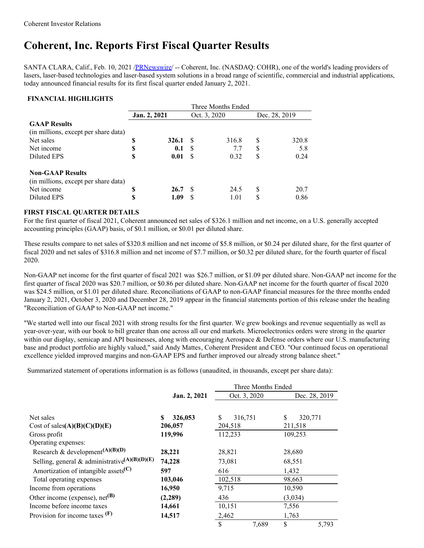## **Coherent, Inc. Reports First Fiscal Quarter Results**

SANTA CLARA, Calif., Feb. 10, 2021 [/PRNewswire](http://www.prnewswire.com/)/ -- Coherent, Inc. (NASDAQ: COHR), one of the world's leading providers of lasers, laser-based technologies and laser-based system solutions in a broad range of scientific, commercial and industrial applications, today announced financial results for its first fiscal quarter ended January 2, 2021.

## **FINANCIAL HIGHLIGHTS**

|                                      |              |       | Three Months Ended |       |               |       |  |
|--------------------------------------|--------------|-------|--------------------|-------|---------------|-------|--|
|                                      | Jan. 2, 2021 |       | Oct. 3, 2020       |       | Dec. 28, 2019 |       |  |
| <b>GAAP Results</b>                  |              |       |                    |       |               |       |  |
| (in millions, except per share data) |              |       |                    |       |               |       |  |
| Net sales                            | \$           | 326.1 | -S                 | 316.8 | S             | 320.8 |  |
| Net income                           | \$           | 0.1   | -S                 | 7.7   | \$            | 5.8   |  |
| Diluted EPS                          | \$           | 0.01  | -S                 | 0.32  | S             | 0.24  |  |
| <b>Non-GAAP Results</b>              |              |       |                    |       |               |       |  |
| (in millions, except per share data) |              |       |                    |       |               |       |  |
| Net income                           | S            | 26.7  | -S                 | 24.5  | S             | 20.7  |  |
| Diluted EPS                          | \$           | 1.09  | S                  | 1.01  | S             | 0.86  |  |

## **FIRST FISCAL QUARTER DETAILS**

For the first quarter of fiscal 2021, Coherent announced net sales of \$326.1 million and net income, on a U.S. generally accepted accounting principles (GAAP) basis, of \$0.1 million, or \$0.01 per diluted share.

These results compare to net sales of \$320.8 million and net income of \$5.8 million, or \$0.24 per diluted share, for the first quarter of fiscal 2020 and net sales of \$316.8 million and net income of \$7.7 million, or \$0.32 per diluted share, for the fourth quarter of fiscal 2020.

Non-GAAP net income for the first quarter of fiscal 2021 was \$26.7 million, or \$1.09 per diluted share. Non-GAAP net income for the first quarter of fiscal 2020 was \$20.7 million, or \$0.86 per diluted share. Non-GAAP net income for the fourth quarter of fiscal 2020 was \$24.5 million, or \$1.01 per diluted share. Reconciliations of GAAP to non-GAAP financial measures for the three months ended January 2, 2021, October 3, 2020 and December 28, 2019 appear in the financial statements portion of this release under the heading "Reconciliation of GAAP to Non-GAAP net income."

"We started well into our fiscal 2021 with strong results for the first quarter. We grew bookings and revenue sequentially as well as year-over-year, with our book to bill greater than one across all our end markets. Microelectronics orders were strong in the quarter within our display, semicap and API businesses, along with encouraging Aerospace  $\&$  Defense orders where our U.S. manufacturing base and product portfolio are highly valued," said Andy Mattes, Coherent President and CEO. "Our continued focus on operational excellence yielded improved margins and non-GAAP EPS and further improved our already strong balance sheet."

Summarized statement of operations information is as follows (unaudited, in thousands, except per share data):

|                                                           |               | Three Months Ended    |               |
|-----------------------------------------------------------|---------------|-----------------------|---------------|
|                                                           | Jan. 2, 2021  | Oct. 3, 2020          | Dec. 28, 2019 |
|                                                           |               |                       |               |
| Net sales                                                 | 326,053<br>\$ | 316,751<br>\$.        | \$<br>320,771 |
| Cost of sales $(A)(B)(C)(D)(E)$                           | 206,057       | 204,518               | 211,518       |
| Gross profit                                              | 119,996       | 112,233               | 109,253       |
| Operating expenses:                                       |               |                       |               |
| Research & development <sup>(A)(B)(D)</sup>               | 28,221        | 28,821                | 28,680        |
| Selling, general & administrative <sup>(A)(B)(D)(E)</sup> | 74,228        | 73,081                | 68,551        |
| Amortization of intangible assets <sup>(C)</sup>          | 597           | 616                   | 1,432         |
| Total operating expenses                                  | 103,046       | 102,518               | 98,663        |
| Income from operations                                    | 16,950        | 9,715                 | 10,590        |
| Other income (expense), net <sup>(B)</sup>                | (2,289)       | 436                   | (3,034)       |
| Income before income taxes                                | 14,661        | 10,151                | 7,556         |
| Provision for income taxes $(F)$                          | 14,517        | 2,462                 | 1,763         |
|                                                           |               | $\mathbb{S}$<br>7,689 | \$<br>5,793   |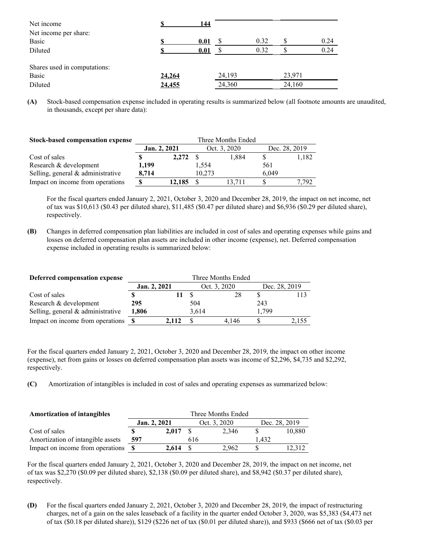| Net income                                   |        | 144  |        |      |        |      |
|----------------------------------------------|--------|------|--------|------|--------|------|
| Net income per share:                        |        |      |        |      |        |      |
| Basic                                        |        | 0.01 |        | 0.32 |        | 0.24 |
| Diluted                                      |        | 0.01 |        | 0.32 |        | 0.24 |
| Shares used in computations:<br><b>Basic</b> | 24,264 |      | 24,193 |      | 23,971 |      |
| Diluted                                      | 24,455 |      | 24,360 |      | 24,160 |      |

**(A)** Stock-based compensation expense included in operating results is summarized below (all footnote amounts are unaudited, in thousands, except per share data):

| <b>Stock-based compensation expense</b> | Three Months Ended |        |              |        |               |       |  |  |
|-----------------------------------------|--------------------|--------|--------------|--------|---------------|-------|--|--|
|                                         | Jan. 2, 2021       |        | Oct. 3, 2020 |        | Dec. 28, 2019 |       |  |  |
| Cost of sales                           |                    | 2.272  | -8           | 1.884  |               | 1,182 |  |  |
| Research & development                  | 1.199              |        | 1.554        |        | 561           |       |  |  |
| Selling, general & administrative       | 8.714              |        | 10.273       |        | 6.049         |       |  |  |
| Impact on income from operations        |                    | 12.185 |              | 13.711 |               | 7.792 |  |  |

For the fiscal quarters ended January 2, 2021, October 3, 2020 and December 28, 2019, the impact on net income, net of tax was \$10,613 (\$0.43 per diluted share), \$11,485 (\$0.47 per diluted share) and \$6,936 (\$0.29 per diluted share), respectively.

**(B)** Changes in deferred compensation plan liabilities are included in cost of sales and operating expenses while gains and losses on deferred compensation plan assets are included in other income (expense), net. Deferred compensation expense included in operating results is summarized below:

| Deferred compensation expense       | Three Months Ended |       |              |       |               |       |  |
|-------------------------------------|--------------------|-------|--------------|-------|---------------|-------|--|
|                                     | Jan. 2, 2021       |       | Oct. 3, 2020 |       | Dec. 28, 2019 |       |  |
| Cost of sales                       |                    |       |              | 28    |               |       |  |
| Research & development              | 295                |       | 504          |       | 243           |       |  |
| Selling, general $&$ administrative | 1,806              |       | 3.614        |       | 1.799         |       |  |
| Impact on income from operations    | - S                | 2.112 |              | 4.146 |               | 2.155 |  |

For the fiscal quarters ended January 2, 2021, October 3, 2020 and December 28, 2019, the impact on other income (expense), net from gains or losses on deferred compensation plan assets was income of \$2,296, \$4,735 and \$2,292, respectively.

**(C)** Amortization of intangibles is included in cost of sales and operating expenses as summarized below:

| <b>Amortization of intangibles</b> | Three Months Ended |       |              |       |               |        |  |  |
|------------------------------------|--------------------|-------|--------------|-------|---------------|--------|--|--|
|                                    | Jan. 2, 2021       |       | Oct. 3, 2020 |       | Dec. 28, 2019 |        |  |  |
| Cost of sales                      |                    | 2.017 |              | 2.346 |               | 10,880 |  |  |
| Amortization of intangible assets  | 597                |       | 616          |       | 1.432         |        |  |  |
| Impact on income from operations   |                    | 2.614 |              | 2.962 |               | 12.312 |  |  |

For the fiscal quarters ended January 2, 2021, October 3, 2020 and December 28, 2019, the impact on net income, net of tax was \$2,270 (\$0.09 per diluted share), \$2,138 (\$0.09 per diluted share), and \$8,942 (\$0.37 per diluted share), respectively.

**(D)** For the fiscal quarters ended January 2, 2021, October 3, 2020 and December 28, 2019, the impact of restructuring charges, net of a gain on the sales leaseback of a facility in the quarter ended October 3, 2020, was \$5,383 (\$4,473 net of tax (\$0.18 per diluted share)), \$129 (\$226 net of tax (\$0.01 per diluted share)), and \$933 (\$666 net of tax (\$0.03 per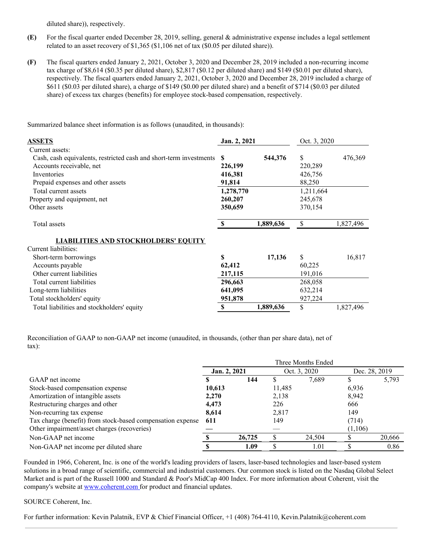diluted share)), respectively.

- **(E)** For the fiscal quarter ended December 28, 2019, selling, general & administrative expense includes a legal settlement related to an asset recovery of \$1,365 (\$1,106 net of tax (\$0.05 per diluted share)).
- **(F)** The fiscal quarters ended January 2, 2021, October 3, 2020 and December 28, 2019 included a non-recurring income tax charge of \$8,614 (\$0.35 per diluted share), \$2,817 (\$0.12 per diluted share) and \$149 (\$0.01 per diluted share), respectively. The fiscal quarters ended January 2, 2021, October 3, 2020 and December 28, 2019 included a charge of \$611 (\$0.03 per diluted share), a charge of \$149 (\$0.00 per diluted share) and a benefit of \$714 (\$0.03 per diluted share) of excess tax charges (benefits) for employee stock-based compensation, respectively.

Summarized balance sheet information is as follows (unaudited, in thousands):

| <b>ASSETS</b>                                                      | Jan. 2, 2021  |           | Oct. 3, 2020 |           |
|--------------------------------------------------------------------|---------------|-----------|--------------|-----------|
| Current assets:                                                    |               |           |              |           |
| Cash, cash equivalents, restricted cash and short-term investments | <b>S</b>      | 544,376   | \$           | 476,369   |
| Accounts receivable, net                                           | 226,199       |           | 220,289      |           |
| Inventories                                                        | 416,381       |           | 426,756      |           |
| Prepaid expenses and other assets                                  | 91,814        |           | 88,250       |           |
| Total current assets                                               | 1,278,770     |           | 1,211,664    |           |
| Property and equipment, net                                        | 260,207       |           | 245,678      |           |
| Other assets                                                       | 350,659       |           | 370,154      |           |
| Total assets                                                       | <sup>\$</sup> | 1,889,636 | \$           | 1,827,496 |
| <b>LIABILITIES AND STOCKHOLDERS' EQUITY</b>                        |               |           |              |           |
| Current liabilities:                                               |               |           |              |           |
| Short-term borrowings                                              | \$            | 17,136    | \$           | 16,817    |
| Accounts payable                                                   | 62,412        |           | 60,225       |           |
| Other current liabilities                                          | 217,115       |           | 191,016      |           |
| Total current liabilities                                          | 296,663       |           | 268,058      |           |
| Long-term liabilities                                              | 641,095       |           | 632,214      |           |
| Total stockholders' equity                                         | 951,878       |           | 927,224      |           |
| Total liabilities and stockholders' equity                         | S             | 1,889,636 | \$           | 1,827,496 |

Reconciliation of GAAP to non-GAAP net income (unaudited, in thousands, (other than per share data), net of tax):

|                                                            | Three Months Ended |        |              |        |               |        |
|------------------------------------------------------------|--------------------|--------|--------------|--------|---------------|--------|
|                                                            | Jan. 2, 2021       |        | Oct. 3, 2020 |        | Dec. 28, 2019 |        |
| GAAP net income                                            |                    | 144    |              | 7.689  |               | 5,793  |
| Stock-based compensation expense                           | 10,613             |        | 11,485       |        | 6,936         |        |
| Amortization of intangible assets                          | 2,270              |        | 2,138        |        | 8,942         |        |
| Restructuring charges and other                            | 4,473              |        | 226          |        | 666           |        |
| Non-recurring tax expense                                  | 8,614              |        | 2,817        |        | 149           |        |
| Tax charge (benefit) from stock-based compensation expense | 611                |        | 149          |        | (714)         |        |
| Other impairment/asset charges (recoveries)                |                    |        |              |        | (1,106)       |        |
| Non-GAAP net income                                        |                    | 26,725 |              | 24,504 |               | 20,666 |
| Non-GAAP net income per diluted share                      |                    | 1.09   |              | 1.01   |               | 0.86   |

Founded in 1966, Coherent, Inc. is one of the world's leading providers of lasers, laser-based technologies and laser-based system solutions in a broad range of scientific, commercial and industrial customers. Our common stock is listed on the Nasdaq Global Select Market and is part of the Russell 1000 and Standard & Poor's MidCap 400 Index. For more information about Coherent, visit the company's website at [www.coherent.com](https://c212.net/c/link/?t=0&l=en&o=3064607-1&h=2990748140&u=http%3A%2F%2Fwww.coherent.com%2F&a=www.coherent.com%C2%A0) for product and financial updates.

## SOURCE Coherent, Inc.

For further information: Kevin Palatnik, EVP & Chief Financial Officer, +1 (408) 764-4110, Kevin.Palatnik@coherent.com